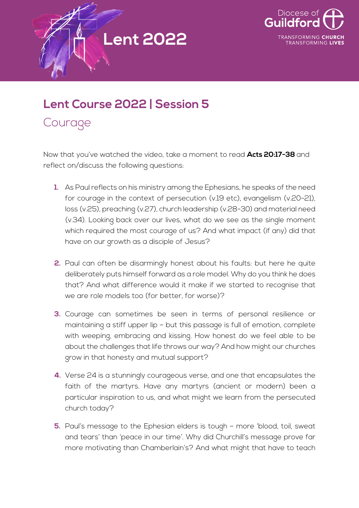



## **Lent Course 2022 | Session 5**

Courage

Now that you've watched the video, take a moment to read **Acts 20:17-38** and reflect on/discuss the following questions:

- **1.** As Paul reflects on his ministry among the Ephesians, he speaks of the need for courage in the context of persecution (v.19 etc), evangelism (v.20-21), loss (v.25), preaching (v.27), church leadership (v.28-30) and material need (v.34). Looking back over our lives, what do we see as the single moment which required the most courage of us? And what impact (if any) did that have on our growth as a disciple of Jesus?
- **2.** Paul can often be disarmingly honest about his faults: but here he quite deliberately puts himself forward as a role model. Why do you think he does that? And what difference would it make if we started to recognise that we are role models too (for better, for worse)?
- **3.** Courage can sometimes be seen in terms of personal resilience or maintaining a stiff upper lip – but this passage is full of emotion, complete with weeping, embracing and kissing. How honest do we feel able to be about the challenges that life throws our way? And how might our churches grow in that honesty and mutual support?
- **4.** Verse 24 is a stunningly courageous verse, and one that encapsulates the faith of the martyrs. Have any martyrs (ancient or modern) been a particular inspiration to us, and what might we learn from the persecuted church today?
- **5.** Paul's message to the Ephesian elders is tough more 'blood, toil, sweat and tears' than 'peace in our time'. Why did Churchill's message prove far more motivating than Chamberlain's? And what might that have to teach